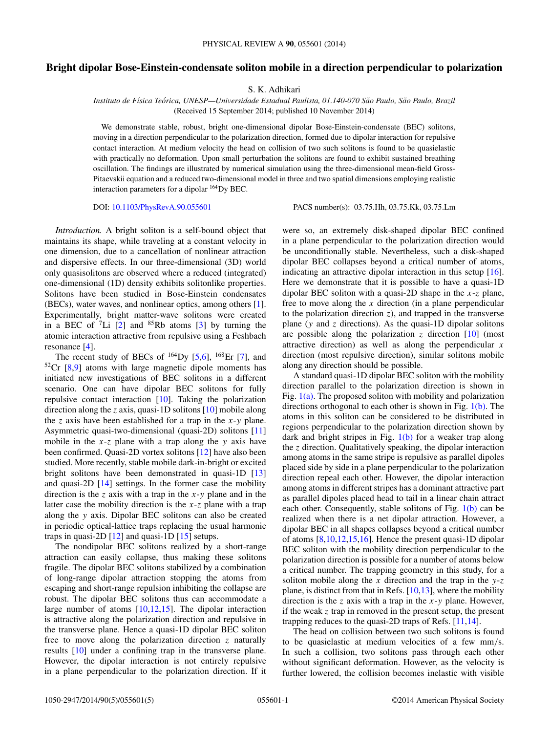## **Bright dipolar Bose-Einstein-condensate soliton mobile in a direction perpendicular to polarization**

S. K. Adhikari

*Instituto de F´ısica Teorica, UNESP—Universidade Estadual Paulista, 01.140-070 S ´ ao Paulo, S ˜ ao Paulo, Brazil ˜* (Received 15 September 2014; published 10 November 2014)

We demonstrate stable, robust, bright one-dimensional dipolar Bose-Einstein-condensate (BEC) solitons, moving in a direction perpendicular to the polarization direction, formed due to dipolar interaction for repulsive contact interaction. At medium velocity the head on collision of two such solitons is found to be quasielastic with practically no deformation. Upon small perturbation the solitons are found to exhibit sustained breathing oscillation. The findings are illustrated by numerical simulation using the three-dimensional mean-field Gross-Pitaevskii equation and a reduced two-dimensional model in three and two spatial dimensions employing realistic interaction parameters for a dipolar 164Dy BEC.

DOI: [10.1103/PhysRevA.90.055601](http://dx.doi.org/10.1103/PhysRevA.90.055601) PACS number(s): 03*.*75*.*Hh*,* 03*.*75*.*Kk*,* 03*.*75*.*Lm

*Introduction.* A bright soliton is a self-bound object that maintains its shape, while traveling at a constant velocity in one dimension, due to a cancellation of nonlinear attraction and dispersive effects. In our three-dimensional (3D) world only quasisolitons are observed where a reduced (integrated) one-dimensional (1D) density exhibits solitonlike properties. Solitons have been studied in Bose-Einstein condensates (BECs), water waves, and nonlinear optics, among others [\[1\]](#page-4-0). Experimentally, bright matter-wave solitons were created in a BEC of  ${}^{7}Li$  [\[2\]](#page-4-0) and  ${}^{85}Rb$  atoms [\[3\]](#page-4-0) by turning the atomic interaction attractive from repulsive using a Feshbach resonance [\[4\]](#page-4-0).

The recent study of BECs of  $^{164}$ Dy [\[5,6\]](#page-4-0),  $^{168}$ Er [\[7\]](#page-4-0), and  $52Cr$  [\[8,9\]](#page-4-0) atoms with large magnetic dipole moments has initiated new investigations of BEC solitons in a different scenario. One can have dipolar BEC solitons for fully repulsive contact interaction [\[10\]](#page-4-0). Taking the polarization direction along the *z* axis, quasi-1D solitons [\[10\]](#page-4-0) mobile along the *z* axis have been established for a trap in the *x*-*y* plane. Asymmetric quasi-two-dimensional (quasi-2D) solitons [\[11\]](#page-4-0) mobile in the *x*-*z* plane with a trap along the *y* axis have been confirmed. Quasi-2D vortex solitons [\[12\]](#page-4-0) have also been studied. More recently, stable mobile dark-in-bright or excited bright solitons have been demonstrated in quasi-1D [\[13\]](#page-4-0) and quasi-2D [\[14\]](#page-4-0) settings. In the former case the mobility direction is the *z* axis with a trap in the *x*-*y* plane and in the latter case the mobility direction is the *x*-*z* plane with a trap along the *y* axis. Dipolar BEC solitons can also be created in periodic optical-lattice traps replacing the usual harmonic traps in quasi-2D [\[12\]](#page-4-0) and quasi-1D [\[15\]](#page-4-0) setups.

The nondipolar BEC solitons realized by a short-range attraction can easily collapse, thus making these solitons fragile. The dipolar BEC solitons stabilized by a combination of long-range dipolar attraction stopping the atoms from escaping and short-range repulsion inhibiting the collapse are robust. The dipolar BEC solitons thus can accommodate a large number of atoms [\[10,12,15\]](#page-4-0). The dipolar interaction is attractive along the polarization direction and repulsive in the transverse plane. Hence a quasi-1D dipolar BEC soliton free to move along the polarization direction *z* naturally results [\[10\]](#page-4-0) under a confining trap in the transverse plane. However, the dipolar interaction is not entirely repulsive in a plane perpendicular to the polarization direction. If it were so, an extremely disk-shaped dipolar BEC confined in a plane perpendicular to the polarization direction would be unconditionally stable. Nevertheless, such a disk-shaped dipolar BEC collapses beyond a critical number of atoms, indicating an attractive dipolar interaction in this setup [\[16\]](#page-4-0). Here we demonstrate that it is possible to have a quasi-1D dipolar BEC soliton with a quasi-2D shape in the *x*-*z* plane, free to move along the *x* direction (in a plane perpendicular to the polarization direction *z*), and trapped in the transverse plane (*y* and *z* directions). As the quasi-1D dipolar solitons are possible along the polarization  $\zeta$  direction  $[10]$  (most attractive direction) as well as along the perpendicular *x* direction (most repulsive direction), similar solitons mobile along any direction should be possible.

A standard quasi-1D dipolar BEC soliton with the mobility direction parallel to the polarization direction is shown in Fig.  $1(a)$ . The proposed soliton with mobility and polarization directions orthogonal to each other is shown in Fig.  $1(b)$ . The atoms in this soliton can be considered to be distributed in regions perpendicular to the polarization direction shown by dark and bright stripes in Fig. [1\(b\)](#page-1-0) for a weaker trap along the *z* direction. Qualitatively speaking, the dipolar interaction among atoms in the same stripe is repulsive as parallel dipoles placed side by side in a plane perpendicular to the polarization direction repeal each other. However, the dipolar interaction among atoms in different stripes has a dominant attractive part as parallel dipoles placed head to tail in a linear chain attract each other. Consequently, stable solitons of Fig. [1\(b\)](#page-1-0) can be realized when there is a net dipolar attraction. However, a dipolar BEC in all shapes collapses beyond a critical number of atoms [\[8,10,12,15,16\]](#page-4-0). Hence the present quasi-1D dipolar BEC soliton with the mobility direction perpendicular to the polarization direction is possible for a number of atoms below a critical number. The trapping geometry in this study, for a soliton mobile along the *x* direction and the trap in the *y*-*z* plane, is distinct from that in Refs.  $[10,13]$ , where the mobility direction is the *z* axis with a trap in the *x*-*y* plane. However, if the weak *z* trap in removed in the present setup, the present trapping reduces to the quasi-2D traps of Refs. [\[11,14\]](#page-4-0).

The head on collision between two such solitons is found to be quasielastic at medium velocities of a few mm*/*s. In such a collision, two solitons pass through each other without significant deformation. However, as the velocity is further lowered, the collision becomes inelastic with visible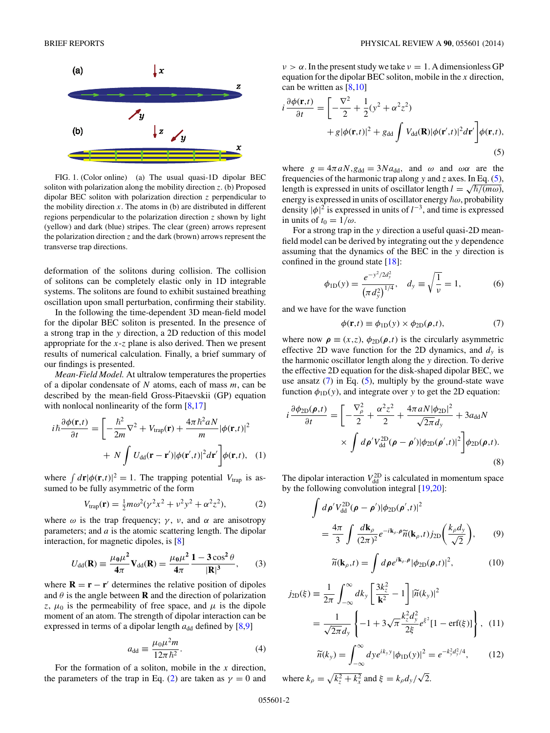<span id="page-1-0"></span>

FIG. 1. (Color online) (a) The usual quasi-1D dipolar BEC soliton with polarization along the mobility direction *z*. (b) Proposed dipolar BEC soliton with polarization direction *z* perpendicular to the mobility direction  $x$ . The atoms in (b) are distributed in different regions perpendicular to the polarization direction *z* shown by light (yellow) and dark (blue) stripes. The clear (green) arrows represent the polarization direction  $z$  and the dark (brown) arrows represent the transverse trap directions.

deformation of the solitons during collision. The collision of solitons can be completely elastic only in 1D integrable systems. The solitons are found to exhibit sustained breathing oscillation upon small perturbation, confirming their stability.

In the following the time-dependent 3D mean-field model for the dipolar BEC soliton is presented. In the presence of a strong trap in the *y* direction, a 2D reduction of this model appropriate for the *x*-*z* plane is also derived. Then we present results of numerical calculation. Finally, a brief summary of our findings is presented.

*Mean-Field Model.* At ultralow temperatures the properties of a dipolar condensate of *N* atoms, each of mass *m*, can be described by the mean-field Gross-Pitaevskii (GP) equation with nonlocal nonlinearity of the form  $[8,17]$ 

$$
i\hbar \frac{\partial \phi(\mathbf{r},t)}{\partial t} = \left[ -\frac{\hbar^2}{2m} \nabla^2 + V_{\text{trap}}(\mathbf{r}) + \frac{4\pi \hbar^2 a N}{m} |\phi(\mathbf{r},t)|^2 + N \int U_{\text{dd}}(\mathbf{r} - \mathbf{r}') |\phi(\mathbf{r}',t)|^2 d\mathbf{r}' \right] \phi(\mathbf{r},t), \quad (1)
$$

where  $\int d\mathbf{r} |\phi(\mathbf{r},t)|^2 = 1$ . The trapping potential  $V_{\text{trap}}$  is assumed to be fully asymmetric of the form

$$
V_{\text{trap}}(\mathbf{r}) = \frac{1}{2}m\omega^2(\gamma^2x^2 + \nu^2y^2 + \alpha^2z^2),\tag{2}
$$

where  $\omega$  is the trap frequency;  $\gamma$ ,  $\nu$ , and  $\alpha$  are anisotropy parameters; and *a* is the atomic scattering length. The dipolar interaction, for magnetic dipoles, is [\[8\]](#page-4-0)

$$
U_{\rm dd}(\mathbf{R}) \equiv \frac{\mu_0 \mu^2}{4\pi} \mathbf{V}_{\rm dd}(\mathbf{R}) = \frac{\mu_0 \mu^2}{4\pi} \frac{1 - 3\cos^2\theta}{|\mathbf{R}|^3},\qquad(3)
$$

where  $\mathbf{R} = \mathbf{r} - \mathbf{r}'$  determines the relative position of dipoles and  $\theta$  is the angle between **R** and the direction of polarization *z*,  $\mu_0$  is the permeability of free space, and  $\mu$  is the dipole moment of an atom. The strength of dipolar interaction can be expressed in terms of a dipolar length  $a_{dd}$  defined by  $[8,9]$ 

$$
a_{\rm dd} \equiv \frac{\mu_0 \mu^2 m}{12\pi \hbar^2}.
$$
 (4)

For the formation of a soliton, mobile in the *x* direction, the parameters of the trap in Eq. (2) are taken as  $\gamma = 0$  and  $\nu > \alpha$ . In the present study we take  $\nu = 1$ . A dimensionless GP equation for the dipolar BEC soliton, mobile in the *x* direction, can be written as [\[8,10\]](#page-4-0)

$$
i\frac{\partial\phi(\mathbf{r},t)}{\partial t} = \left[ -\frac{\nabla^2}{2} + \frac{1}{2}(y^2 + \alpha^2 z^2) + g|\phi(\mathbf{r},t)|^2 + g_{dd} \int V_{dd}(\mathbf{R})|\phi(\mathbf{r}',t)|^2 d\mathbf{r}' \right] \phi(\mathbf{r},t),\tag{5}
$$

where  $g = 4\pi aN$ ,  $g_{dd} = 3Na_{dd}$ , and  $\omega$  and  $\omega\alpha$  are the frequencies of the harmonic trap along *y* and *z* axes. In Eq. (5), length is expressed in units of oscillator length  $l = \sqrt{\hbar/(m\omega)}$ , energy is expressed in units of oscillator energy  $\hbar\omega$ , probability density  $|\phi|^2$  is expressed in units of  $l^{-3}$ , and time is expressed in units of  $t_0 = 1/\omega$ .

For a strong trap in the *y* direction a useful quasi-2D meanfield model can be derived by integrating out the *y* dependence assuming that the dynamics of the BEC in the *y* direction is confined in the ground state [\[18\]](#page-4-0):

$$
\phi_{1D}(y) = \frac{e^{-y^2/2d_y^2}}{(\pi d_y^2)^{1/4}}, \quad d_y \equiv \sqrt{\frac{1}{\nu}} = 1,
$$
 (6)

and we have for the wave function

$$
\phi(\mathbf{r},t) \equiv \phi_{1D}(y) \times \phi_{2D}(\boldsymbol{\rho},t),\tag{7}
$$

where now  $\rho \equiv (x, z), \phi_{2D}(\rho, t)$  is the circularly asymmetric effective 2D wave function for the 2D dynamics, and  $d<sub>v</sub>$  is the harmonic oscillator length along the *y* direction. To derive the effective 2D equation for the disk-shaped dipolar BEC, we use ansatz  $(7)$  in Eq.  $(5)$ , multiply by the ground-state wave function  $\phi_{1D}(y)$ , and integrate over *y* to get the 2D equation:

$$
i\frac{\partial\phi_{\text{2D}}(\rho,t)}{\partial t} = \left[ -\frac{\nabla_{\rho}^{2}}{2} + \frac{\alpha^{2}z^{2}}{2} + \frac{4\pi aN|\phi_{\text{2D}}|^{2}}{\sqrt{2\pi}d_{y}} + 3a_{\text{dd}}N \right] \times \int d\rho' V_{\text{dd}}^{\text{2D}}(\rho - \rho')|\phi_{\text{2D}}(\rho',t)|^{2} \right] \phi_{\text{2D}}(\rho,t). \tag{8}
$$

The dipolar interaction  $V_{\text{dd}}^{\text{2D}}$  is calculated in momentum space by the following convolution integral [\[19,20\]](#page-4-0):

$$
\int d\rho' V_{\rm dd}^{\rm 2D}(\rho - \rho') |\phi_{\rm 2D}(\rho', t)|^2
$$
\n
$$
= \frac{4\pi}{3} \int \frac{d\mathbf{k}_{\rho}}{(2\pi)^2} e^{-i\mathbf{k}_{\rho} \cdot \rho} \widetilde{n}(\mathbf{k}_{\rho}, t) j_{\rm 2D}\left(\frac{k_{\rho} d_{\rm y}}{\sqrt{2}}\right), \qquad (9)
$$

$$
\widetilde{n}(\mathbf{k}_{\rho},t) = \int d\rho e^{i\mathbf{k}_{\rho}\cdot\boldsymbol{\rho}} |\phi_{2\mathbf{D}}(\boldsymbol{\rho},t)|^2, \tag{10}
$$

$$
j_{2D}(\xi) = \frac{1}{2\pi} \int_{-\infty}^{\infty} dk_y \left[ \frac{3k_z^2}{k^2} - 1 \right] |\widetilde{n}(k_y)|^2
$$
  
= 
$$
\frac{1}{\sqrt{2\pi} d_y} \left\{ -1 + 3\sqrt{\pi} \frac{k_z^2 d_y^2}{2\xi} e^{\xi^2} [1 - \text{erf}(\xi)] \right\},
$$
(11)

$$
\widetilde{n}(k_{y}) = \int_{-\infty}^{\infty} dy e^{ik_{y}y} |\phi_{\text{1D}}(y)|^{2} = e^{-k_{y}^{2}d_{y}^{2}/4}, \qquad (12)
$$

where  $k_{\rho} = \sqrt{k_z^2 + k_x^2}$  and  $\xi = k_{\rho} d_y / \sqrt{2}$ .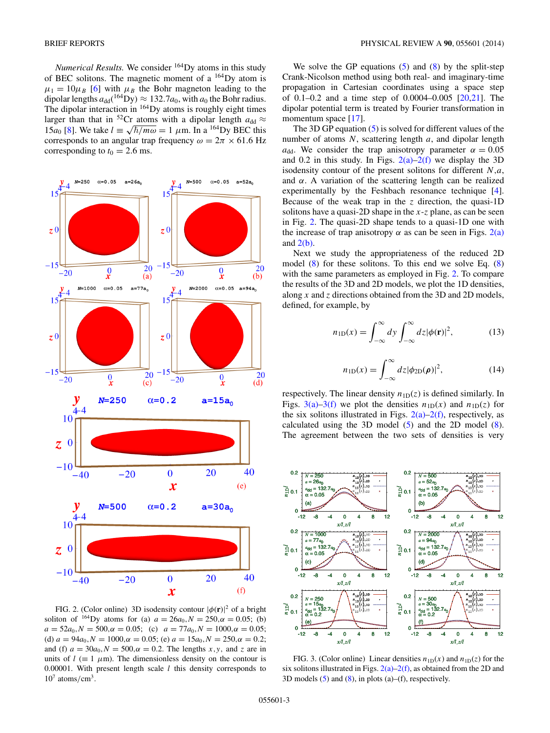<span id="page-2-0"></span>*Numerical Results.* We consider <sup>164</sup>Dy atoms in this study of BEC solitons. The magnetic moment of a 164Dy atom is  $\mu_1 = 10 \mu_B$  [\[6\]](#page-4-0) with  $\mu_B$  the Bohr magneton leading to the dipolar lengths  $a_{dd}({}^{164}Dy) \approx 132.7a_0$ , with  $a_0$  the Bohr radius. The dipolar interaction in  $164$  Dy atoms is roughly eight times larger than that in <sup>52</sup>Cr atoms with a dipolar length  $a_{dd} \approx$ 15*a*<sub>0</sub> [\[8\]](#page-4-0). We take  $l = \sqrt{\hbar/m\omega} = 1 \mu \text{m}$ . In a <sup>164</sup>Dy BEC this corresponds to an angular trap frequency  $\omega = 2\pi \times 61.6$  Hz corresponding to  $t_0 = 2.6$  ms.



FIG. 2. (Color online) 3D isodensity contour  $|\phi(\mathbf{r})|^2$  of a bright soliton of <sup>164</sup>Dy atoms for (a)  $a = 26a_0$ ,  $N = 250$ ,  $\alpha = 0.05$ ; (b)  $a = 52a_0, N = 500, \alpha = 0.05;$  (c)  $a = 77a_0, N = 1000, \alpha = 0.05;$ (d)  $a = 94a_0, N = 1000, \alpha = 0.05$ ; (e)  $a = 15a_0, N = 250, \alpha = 0.2$ ; and (f)  $a = 30a_0$ ,  $N = 500$ ,  $\alpha = 0.2$ . The lengths *x*, *y*, and *z* are in units of  $l$  ( $\equiv$  1  $\mu$ m). The dimensionless density on the contour is 0.00001. With present length scale *l* this density corresponds to  $10^7$  atoms/cm<sup>3</sup>.

We solve the GP equations  $(5)$  and  $(8)$  by the split-step Crank-Nicolson method using both real- and imaginary-time propagation in Cartesian coordinates using a space step of 0.1–0.2 and a time step of 0.0004–0.005 [\[20,21\]](#page-4-0). The dipolar potential term is treated by Fourier transformation in momentum space [\[17\]](#page-4-0).

The 3D GP equation [\(5\)](#page-1-0) is solved for different values of the number of atoms *N*, scattering length *a*, and dipolar length *a*<sub>dd</sub>. We consider the trap anisotropy parameter  $\alpha = 0.05$ and 0.2 in this study. In Figs.  $2(a)-2(f)$  we display the 3D isodensity contour of the present solitons for different *N,a*, and *α*. A variation of the scattering length can be realized experimentally by the Feshbach resonance technique [\[4\]](#page-4-0). Because of the weak trap in the *z* direction, the quasi-1D solitons have a quasi-2D shape in the *x*-*z* plane, as can be seen in Fig. 2. The quasi-2D shape tends to a quasi-1D one with the increase of trap anisotropy  $\alpha$  as can be seen in Figs. 2(a) and  $2(b)$ .

Next we study the appropriateness of the reduced 2D model  $(8)$  for these solitons. To this end we solve Eq.  $(8)$ with the same parameters as employed in Fig. 2. To compare the results of the 3D and 2D models, we plot the 1D densities, along *x* and *z* directions obtained from the 3D and 2D models, defined, for example, by

$$
n_{1D}(x) = \int_{-\infty}^{\infty} dy \int_{-\infty}^{\infty} dz |\phi(\mathbf{r})|^2,
$$
 (13)

$$
n_{\text{1D}}(x) = \int_{-\infty}^{\infty} dz |\phi_{\text{2D}}(\boldsymbol{\rho})|^2,
$$
 (14)

respectively. The linear density  $n_{1D}(z)$  is defined similarly. In Figs. 3(a)–3(f) we plot the densities  $n_{1D}(x)$  and  $n_{1D}(z)$  for the six solitons illustrated in Figs.  $2(a)-2(f)$ , respectively, as calculated using the 3D model  $(5)$  and the 2D model  $(8)$ . The agreement between the two sets of densities is very



FIG. 3. (Color online) Linear densities  $n_{1D}(x)$  and  $n_{1D}(z)$  for the six solitons illustrated in Figs.  $2(a)-2(f)$ , as obtained from the 2D and 3D models  $(5)$  and  $(8)$ , in plots  $(a)$ – $(f)$ , respectively.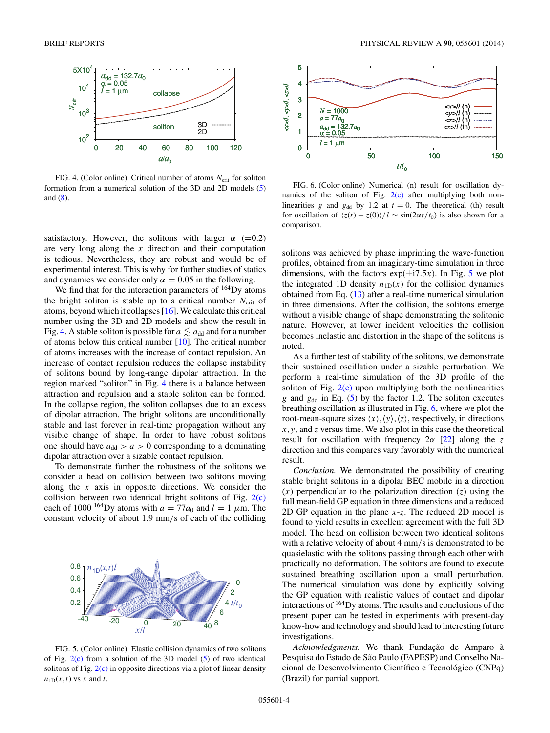

FIG. 4. (Color online) Critical number of atoms *N*<sub>crit</sub> for soliton formation from a numerical solution of the 3D and 2D models [\(5\)](#page-1-0) and [\(8\)](#page-1-0).

satisfactory. However, the solitons with larger  $\alpha$  (=0.2) are very long along the *x* direction and their computation is tedious. Nevertheless, they are robust and would be of experimental interest. This is why for further studies of statics and dynamics we consider only  $\alpha = 0.05$  in the following.

We find that for the interaction parameters of  $164$  Dy atoms the bright soliton is stable up to a critical number  $N_{\text{crit}}$  of atoms, beyond which it collapses [\[16\]](#page-4-0).We calculate this critical number using the 3D and 2D models and show the result in Fig. 4. A stable soliton is possible for  $a \lesssim a_{\rm dd}$  and for a number of atoms below this critical number [\[10\]](#page-4-0). The critical number of atoms increases with the increase of contact repulsion. An increase of contact repulsion reduces the collapse instability of solitons bound by long-range dipolar attraction. In the region marked "soliton" in Fig. 4 there is a balance between attraction and repulsion and a stable soliton can be formed. In the collapse region, the soliton collapses due to an excess of dipolar attraction. The bright solitons are unconditionally stable and last forever in real-time propagation without any visible change of shape. In order to have robust solitons one should have  $a_{dd} > a > 0$  corresponding to a dominating dipolar attraction over a sizable contact repulsion.

To demonstrate further the robustness of the solitons we consider a head on collision between two solitons moving along the *x* axis in opposite directions. We consider the collision between two identical bright solitons of Fig.  $2(c)$ each of 1000<sup>-164</sup>Dy atoms with  $a = 77a_0$  and  $l = 1 \mu$ m. The constant velocity of about 1.9 mm*/*s of each of the colliding



FIG. 5. (Color online) Elastic collision dynamics of two solitons of Fig.  $2(c)$  from a solution of the 3D model [\(5\)](#page-1-0) of two identical solitons of Fig.  $2(c)$  in opposite directions via a plot of linear density  $n_{1D}(x,t)$  vs *x* and *t*.



FIG. 6. (Color online) Numerical (n) result for oscillation dynamics of the soliton of Fig.  $2(c)$  after multiplying both nonlinearities *g* and  $g_{dd}$  by 1.2 at  $t = 0$ . The theoretical (th) result for oscillation of  $\langle z(t) - z(0) \rangle / l \sim \frac{\sin(2\alpha t)}{t_0}$  is also shown for a comparison.

solitons was achieved by phase imprinting the wave-function profiles, obtained from an imaginary-time simulation in three dimensions, with the factors  $exp(\pm i7.5x)$ . In Fig. 5 we plot the integrated 1D density  $n_{1D}(x)$  for the collision dynamics obtained from Eq. [\(13\)](#page-2-0) after a real-time numerical simulation in three dimensions. After the collision, the solitons emerge without a visible change of shape demonstrating the solitonic nature. However, at lower incident velocities the collision becomes inelastic and distortion in the shape of the solitons is noted.

As a further test of stability of the solitons, we demonstrate their sustained oscillation under a sizable perturbation. We perform a real-time simulation of the 3D profile of the soliton of Fig.  $2(c)$  upon multiplying both the nonlinearities *g* and *g*dd in Eq. [\(5\)](#page-1-0) by the factor 1.2. The soliton executes breathing oscillation as illustrated in Fig. 6, where we plot the root-mean-square sizes  $\langle x \rangle, \langle y \rangle, \langle z \rangle$ , respectively, in directions *x,y*, and *z* versus time. We also plot in this case the theoretical result for oscillation with frequency 2*α* [\[22\]](#page-4-0) along the *z* direction and this compares vary favorably with the numerical result.

*Conclusion.* We demonstrated the possibility of creating stable bright solitons in a dipolar BEC mobile in a direction (*x*) perpendicular to the polarization direction (*z*) using the full mean-field GP equation in three dimensions and a reduced 2D GP equation in the plane *x*-*z*. The reduced 2D model is found to yield results in excellent agreement with the full 3D model. The head on collision between two identical solitons with a relative velocity of about 4 mm*/*s is demonstrated to be quasielastic with the solitons passing through each other with practically no deformation. The solitons are found to execute sustained breathing oscillation upon a small perturbation. The numerical simulation was done by explicitly solving the GP equation with realistic values of contact and dipolar interactions of 164Dy atoms. The results and conclusions of the present paper can be tested in experiments with present-day know-how and technology and should lead to interesting future investigations.

*Acknowledgments.* We thank Fundação de Amparo à Pesquisa do Estado de São Paulo (FAPESP) and Conselho Nacional de Desenvolvimento Científico e Tecnológico (CNPq) (Brazil) for partial support.